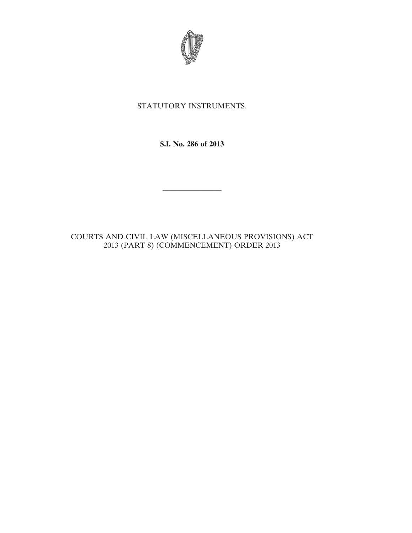

## STATUTORY INSTRUMENTS.

**S.I. No. 286 of 2013**

————————

COURTS AND CIVIL LAW (MISCELLANEOUS PROVISIONS) ACT 2013 (PART 8) (COMMENCEMENT) ORDER 2013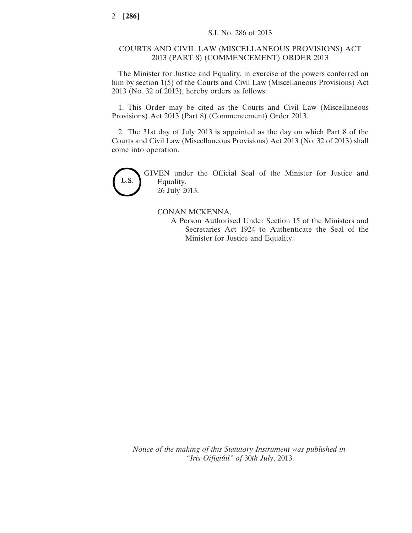## COURTS AND CIVIL LAW (MISCELLANEOUS PROVISIONS) ACT 2013 (PART 8) (COMMENCEMENT) ORDER 2013

The Minister for Justice and Equality, in exercise of the powers conferred on him by section 1(5) of the Courts and Civil Law (Miscellaneous Provisions) Act 2013 (No. 32 of 2013), hereby orders as follows:

1. This Order may be cited as the Courts and Civil Law (Miscellaneous Provisions) Act 2013 (Part 8) (Commencement) Order 2013.

2. The 31st day of July 2013 is appointed as the day on which Part 8 of the Courts and Civil Law (Miscellaneous Provisions) Act 2013 (No. 32 of 2013) shall come into operation.



GIVEN under the Official Seal of the Minister for Justice and Equality, 26 July 2013.

## CONAN MCKENNA,

A Person Authorised Under Section 15 of the Ministers and Secretaries Act 1924 to Authenticate the Seal of the Minister for Justice and Equality.

*Notice of the making of this Statutory Instrument was published in "Iris Oifigiúil" of* 30*th July*, 2013.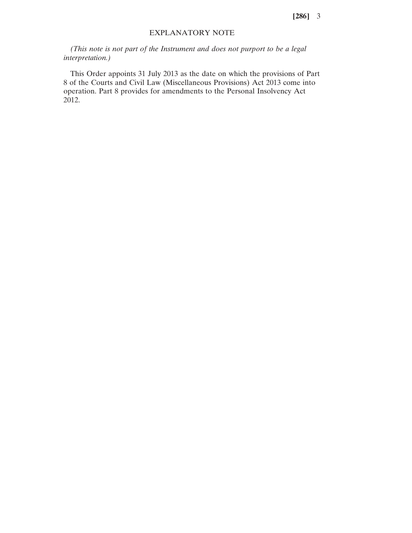**[286]** 3

## EXPLANATORY NOTE

*(This note is not part of the Instrument and does not purport to be a legal interpretation.)*

This Order appoints 31 July 2013 as the date on which the provisions of Part 8 of the Courts and Civil Law (Miscellaneous Provisions) Act 2013 come into operation. Part 8 provides for amendments to the Personal Insolvency Act 2012.